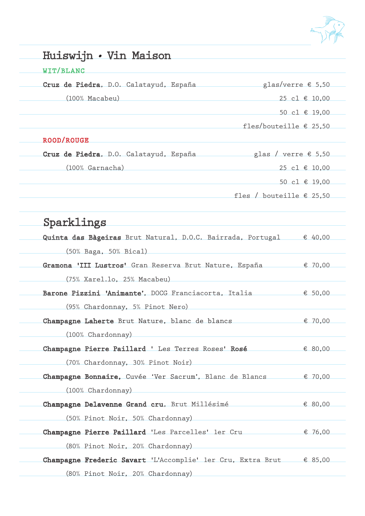

| WIT/BLANC                                                                    |                                   |  |
|------------------------------------------------------------------------------|-----------------------------------|--|
| Cruz de Piedra, D.O. Calatayud, España                                       | glas/verre $$5,50$                |  |
| $(100\%$ Macabeu)                                                            | 25 cl € 10,00                     |  |
|                                                                              | 50 cl € 19,00                     |  |
|                                                                              | fles/bouteille $£ 25,50$          |  |
| <b>ROOD/ROUGE</b>                                                            |                                   |  |
|                                                                              |                                   |  |
| (100% Garnacha)                                                              | 25 cl € 10,00                     |  |
|                                                                              | 50 cl € 19,00                     |  |
|                                                                              | fles / bouteille $\epsilon$ 25,50 |  |
| Sparklings                                                                   |                                   |  |
| Quinta das Bàgeiras Brut Natural, D.O.C. Bairrada, Portugal € 40,00          |                                   |  |
| (50% Baga, 50% Bical)                                                        |                                   |  |
| Gramona 'III Lustros' Gran Reserva Brut Nature, España < ₹ 70,00             |                                   |  |
| (75% Xarel.lo, 25% Macabeu)                                                  |                                   |  |
| Barone Pizzini 'Animante', DOCG Franciacorta, Italia                         | € 50,00                           |  |
| (95% Chardonnay, 5% Pinot Nero)                                              |                                   |  |
| Champagne Laherte Brut Nature, blanc de blancs                               | € 70,00                           |  |
| (100% Chardonnay)                                                            |                                   |  |
| Champagne Pierre Paillard ' Les Terres Roses' Rosé $\epsilon$ 80,00          |                                   |  |
| (70% Chardonnay, 30% Pinot Noir)                                             |                                   |  |
| Champagne Bonnaire, Cuvée 'Ver Sacrum', Blanc de Blancs € 70,00              |                                   |  |
| (100% Chardonnay)                                                            |                                   |  |
| Champagne Delavenne Grand cru, Brut Millésimé  ← 80,00                       |                                   |  |
| (50% Pinot Noir, 50% Chardonnay)                                             |                                   |  |
| Champagne Pierre Paillard 'Les Parcelles' ler Cru $\epsilon$ 76,00           |                                   |  |
| (80% Pinot Noir, 20% Chardonnay)                                             |                                   |  |
| Champagne Frederic Savart 'L'Accomplie' ler Cru, Extra Brut $\epsilon$ 85,00 |                                   |  |
| (80% Pinot Noir, 20% Chardonnay)                                             |                                   |  |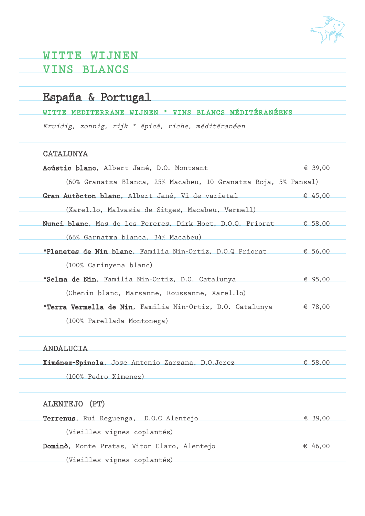

### WITTE WIJNEN VINS BLANCS

## España & Portugal

### WITTE MEDITERRANE WIJNEN \* VINS BLANCS MÉDITÉRANÉENS

Kruidig, zonnig, rijk \* épicé, riche, méditéranéen

### CATALUNYA

| Acústic blanc, Albert Jané, D.O. Montsant                                   | € 39,00 |
|-----------------------------------------------------------------------------|---------|
| (60% Granatxa Blanca, 25% Macabeu, 10 Granatxa Roja, 5% Pansal)             |         |
| Gran Autocton blanc, Albert Jané, Vi de varietal                            | € 45,00 |
| (Xarel.lo, Malvasia de Sitges, Macabeu, Vermell)                            |         |
| Nunci blanc, Mas de les Pereres, Dirk Hoet, D.O.Q. Priorat $\epsilon$ 58,00 |         |
| (66% Garnatxa blanca, 34% Macabeu)                                          |         |
| *Planetes de Nin blanc, Familia Nin-Ortiz, D.O.Q Priorat $\epsilon$ 56,00   |         |
| (100% Carinyena blanc)                                                      |         |
| *Selma de Nin, Familia Nin-Ortiz, D.O. Catalunya<br>$\epsilon$ 95,00        |         |
| (Chenin blanc, Marsanne, Roussanne, Xarel.1o)                               |         |
| *Terra Vermella de Nin, Familia Nin-Ortiz, D.O. Catalunya $\epsilon$ 78,00  |         |
| (100% Parellada Montonega)                                                  |         |
|                                                                             |         |
|                                                                             |         |

#### ANDALUCIA

| Ximénez-Spinola, Jose Antonio Zarzana, D.O.Jerez | € 58,00 |
|--------------------------------------------------|---------|
|                                                  |         |
| (100% Pedro Ximenez)                             |         |

| ALENTEJO (PT)                               |         |
|---------------------------------------------|---------|
| Terrenus, Rui Reguenga, D.O.C Alentejo      | € 39.00 |
| (Vieilles vignes coplantés)                 |         |
| Dominò, Monte Pratas, Vitor Claro, Alentejo | € 46,00 |
| (Vieilles vignes coplantés)                 |         |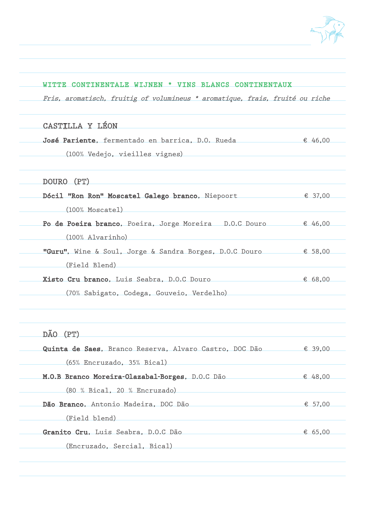

| WITTE CONTINENTALE WIJNEN * VINS BLANCS CONTINENTAUX                             |         |
|----------------------------------------------------------------------------------|---------|
| Fris, aromatisch, fruitig of volumineus * aromatique, frais, fruité ou riche     |         |
|                                                                                  |         |
| CASTILLA Y LÉON                                                                  |         |
| José Pariente, fermentado en barrica, D.O. Rueda $\epsilon$ 46,00                |         |
| (100% Vedejo, vieilles vignes)                                                   |         |
|                                                                                  |         |
| DOURO (PT)                                                                       |         |
| Dócil "Ron Ron" Moscatel Galego branco, Niepoort € 37,00                         |         |
| $(100\%$ Moscatel)                                                               |         |
| Po de Poeira branco, Poeira, Jorge Moreira D.O.C Douro $\epsilon$ 46,00          |         |
| $(100\%$ Alvarinho)                                                              |         |
| <b>"Guru"</b> , Wine & Soul, Jorge & Sandra Borges, D.O.C Douro $\epsilon$ 58,00 |         |
| (Field Blend)                                                                    |         |
| Xisto Cru branco, Luis Seabra, D.O.C Douro                                       | € 68.00 |
| (70% Sabigato, Codega, Gouveio, Verdelho)                                        |         |
|                                                                                  |         |

## DÃO (PT)

| Quinta de Saes, Branco Reserva, Alvaro Castro, DOC Dão | € 39.00 |
|--------------------------------------------------------|---------|
| $(65%$ Encruzado, $35%$ Bical)                         |         |
| M.O.B Branco Moreira-Olazabal-Borges, D.O.C Dão        | € 48,00 |
| (80 % Bical, 20 % Encruzado)                           |         |
| Dão Branco, Antonio Madeira, DOC Dão                   | € 57,00 |
| (Field blend)                                          |         |
| Granito Cru, Luis Seabra, D.O.C Dão                    | € 65,00 |
| (Encruzado, Sercial, Bical)                            |         |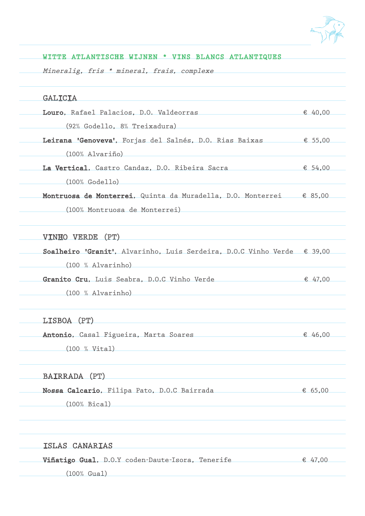

| WITTE ATLANTISCHE WIJNEN * VINS BLANCS ATLANTIQUES                                                          |         |
|-------------------------------------------------------------------------------------------------------------|---------|
| Mineralig, fris * mineral, frais, complexe                                                                  |         |
| <b>GALICIA</b>                                                                                              |         |
| Louro, Rafael Palacios, D.O. Valdeorras $\epsilon$ 40,00                                                    |         |
| (92% Godello, 8% Treixadura)                                                                                |         |
| Leirana 'Genoveva', Forjas del Salnés, D.O. Rias Baixas (€ 55,000)                                          |         |
| $(100\%$ Alvariño)                                                                                          |         |
| La Vertical, Castro Candaz, D.O. Ribeira Sacra $\epsilon$ 54,00                                             |         |
| $(100\% \text{ Godello})$                                                                                   |         |
| Montruosa de Monterrei, Quinta da Muradella, D.O. Monterrei $\epsilon$ 85,00                                |         |
| (100% Montruosa de Monterrei)<br>the control of the control of the control of the control of the control of |         |
| VINHO VERDE (PT)                                                                                            |         |
| Soalheiro 'Granit', Alvarinho, Luis Serdeira, D.O.C Vinho Verde $\epsilon$ 39,00                            |         |
| $(100 %$ Alvarinho)                                                                                         |         |
| Granito Cru, Luis Seabra, D.O.C Vinho Verde $\ell$ 47,00                                                    |         |
| $(100 %$ Alvarinho)                                                                                         |         |
| LISBOA (PT<br>(PT)                                                                                          |         |
| Antonio, Casal Figueira, Marta Soares                                                                       | € 46,00 |
| <u> 1980 - Johann Stein, marwolaethau (b. 1980)</u><br>(100 % Vital)                                        |         |
| BAIRRADA (PT)                                                                                               |         |
| Nossa Calcario, Filipa Pato, D.O.C Bairrada                                                                 | € 65,00 |
| (100% Bical)<br>the control of the control of the control of the control of the control of the control of   |         |
|                                                                                                             |         |
| ISLAS CANARIAS                                                                                              |         |
| Viñatigo Gual, D.O.Y coden-Daute-Isora, Tenerife                                                            | € 47,00 |
| $(100%$ Gual)                                                                                               |         |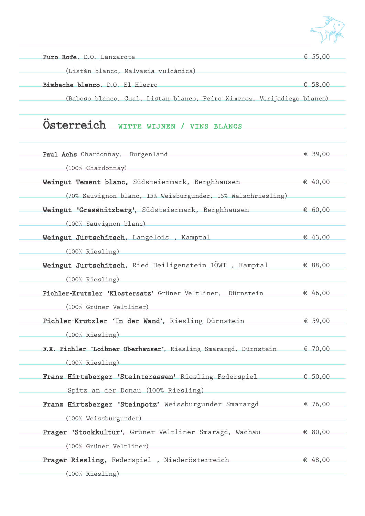

| Puro Rofe, D.O. Lanzarote           | € 55,00 |
|-------------------------------------|---------|
| (Listàn blanco, Malvasia vulcànica) |         |
| Bimbache blanco, D.O. El Hierro     | € 58,00 |
|                                     |         |

(Baboso blanco, Gual, Listan blanco, Pedro Ximenez, Verijadiego blanco)

# Österreich WITTE WIJNEN / VINS BLANCS

| Paul Achs Chardonnay, Burgenland                                           | € 39,00          |
|----------------------------------------------------------------------------|------------------|
| (100% Chardonnay)                                                          |                  |
| Weingut Tement blanc, Südsteiermark, Berghhausen                           | € 40,00          |
| (70% Sauvignon blanc, 15% Weisburgunder, 15% Welschriesling)               |                  |
| Weingut 'Grassnitzberg', Südsteiermark, Berghhausen                        | € 60,00          |
| (100% Sauvignon blanc)                                                     |                  |
| Weingut Jurtschitsch, Langelois, Kamptal                                   | € 43,00          |
| (100% Riesling)                                                            |                  |
| Weingut Jurtschitsch, Ried Heiligenstein $10WT$ , Kamptal $\epsilon$ 88,00 |                  |
| (100% Riesling)                                                            |                  |
| Pichler-Krutzler 'Klostersatz' Grüner Veltliner, Dürnstein                 | € 46,00          |
| (100% Grüner Veltliner)                                                    |                  |
| Pichler-Krutzler 'In der Wand', Riesling Dürnstein                         | € 59,00          |
| (100% Riesling)                                                            |                  |
| F.X. Pichler 'Loibner Oberhauser', Riesling Smarargd, Dürnstein            | € 70,00          |
| (100% Riesling)                                                            |                  |
| Franz Hirtzberger 'Steinterassen' Riesling Federspiel                      | € 50,00          |
| Spitz an der Donau (100% Riesling)                                         |                  |
| Franz Hirtzberger 'Steinpotz' Weissburgunder Smarargd € 76,00              |                  |
| (100% Weissburgunder)                                                      |                  |
| Prager 'Stockkultur', Grüner Veltliner Smaragd, Wachau                     | $\epsilon$ 80,00 |
| (100% Grüner Veltliner)                                                    |                  |
| Prager Riesling, Federspiel, Niederösterreich                              | € 48,00          |
| (100% Riesling)                                                            |                  |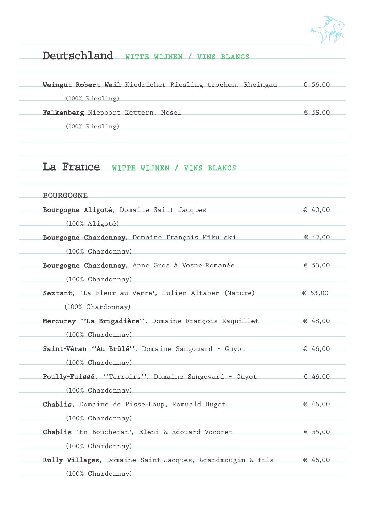

## Deutschland WITTE WIJNEN / VINS BLANCS

| Weingut Robert Weil Kiedricher Riesling trocken, Rheingau | € 56,00 |
|-----------------------------------------------------------|---------|
| $(100\%$ Riesling)                                        |         |
| Falkenberg Niepoort Kettern, Mosel                        | € 59.00 |
| $(100\%$ Riesling)                                        |         |

### La France WITTE WIJNEN / VINS BLANCS

| <b>BOURGOGNE</b>                                                      |         |
|-----------------------------------------------------------------------|---------|
| Bourgogne Aligoté, Domaine Saint Jacques                              | € 40,00 |
| $(100\%$ Aligoté)                                                     |         |
| Bourgogne Chardonnay, Domaine François Mikulski                       | € 47,00 |
| (100% Chardonnay)                                                     |         |
| Bourgogne Chardonnay, Anne Gros à Vosne-Romanée                       | € 53,00 |
| (100% Chardonnay)                                                     |         |
| Sextant, 'La Fleur au Verre', Julien Altaber (Nature)                 | € 53,00 |
| (100% Chardonnay)                                                     |         |
| Mercurey "La Brigadière", Domaine François Raquillet $\epsilon$ 48,00 |         |
| (100% Chardonnay)                                                     |         |
| Saint-Véran "Au Brûlé", Domaine Sangouard - Guyot $\epsilon$ 46,00    |         |
| (100% Chardonnay)                                                     |         |
| Poully-Fuissé, "Terroirs", Domaine Sangovard - Guyot                  | € 49,00 |
| (100% Chardonnay)                                                     |         |
| Chablis, Domaine de Pisse-Loup, Romuald Hugot                         | € 46,00 |
| (100% Chardonnay)                                                     |         |
| Chablis 'En Boucheran', Eleni & Edouard Vocoret                       | € 55,00 |
| (100% Chardonnay)                                                     |         |
| Rully Villages, Domaine Saint-Jacques, Grandmougin & fils € 46,00     |         |
| (100% Chardonnay)                                                     |         |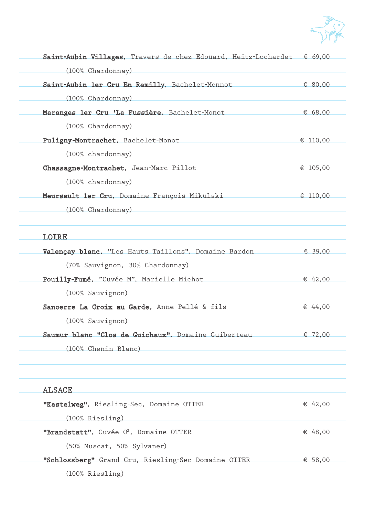

| Saint-Aubin Villages, Travers de chez Edouard, Heitz-Lochardet $\epsilon$ 69,00 |          |
|---------------------------------------------------------------------------------|----------|
| (100% Chardonnay)                                                               |          |
| Saint-Aubin ler Cru En Remilly, Bachelet-Monnot                                 | € 80,00  |
| (100% Chardonnay)                                                               |          |
| Maranges ler Cru 'La Fussière, Bachelet-Monot                                   | € 68,00  |
| $(100\%$ Chardonnay)                                                            |          |
| Puligny-Montrachet, Bachelet-Monot                                              | € 110,00 |
| $(100\%$ chardonnay)                                                            |          |
| Chassagne-Montrachet, Jean-Marc Pillot                                          | € 105,00 |
| (100% chardonnay)                                                               |          |
| Meursault ler Cru, Domaine François Mikulski                                    | € 110,00 |
| (100% Chardonnay)                                                               |          |
|                                                                                 |          |

#### LOIRE

| Valençay blanc, "Les Hauts Taillons", Domaine Bardon | € 39.00 |
|------------------------------------------------------|---------|
| (70% Sauvignon, 30% Chardonnay)                      |         |
| Pouilly-Fumé, "Cuvée M", Marielle Michot             | € 42,00 |
| $(100\%$ Sauvignon)                                  |         |
| Sancerre La Croix au Garde, Anne Pellé & fils        | € 44.00 |
| (100% Sauvignon)                                     |         |
| Saumur blanc "Clos de Guichaux", Domaine Guiberteau  | € 72,00 |
| (100% Chenin Blanc)                                  |         |
|                                                      |         |

| <b>ALSACE</b>                                       |         |
|-----------------------------------------------------|---------|
| "Kastelweg", Riesling-Sec, Domaine OTTER            | € 42,00 |
| $(100\%$ Riesling)                                  |         |
| "Brandstatt", Cuvée O <sup>2</sup> , Domaine OTTER  | € 48,00 |
| (50% Muscat, 50% Sylvaner)                          |         |
| "Schlossberg" Grand Cru, Riesling-Sec Domaine OTTER | € 58,00 |
| $(100\%$ Riesling)                                  |         |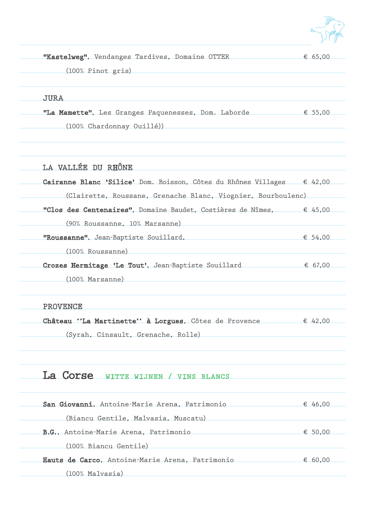

| "Kastelweg", Vendanges Tardives, Domaine OTTER | € 65.00 |
|------------------------------------------------|---------|
|                                                |         |
| (100% Pinot gris)                              |         |

JURA

"La Mamette", Les Granges Paquenesses, Dom. Laborde € 55,00 (100% Chardonnay Ouillé))

### LA VALLÉE DU RHÔNE

| Cairanne Blanc 'Silice' Dom. Boisson, Côtes du Rhônes Villages € 42,00       |         |
|------------------------------------------------------------------------------|---------|
| (Clairette, Roussane, Grenache Blanc, Viognier, Bourboulenc)                 |         |
| "Clos des Centenaires", Domaine Baudet, Costières de Nîmes, $\epsilon$ 45,00 |         |
| (90% Roussanne, 10% Marsanne)                                                |         |
| "Roussanne", Jean-Baptiste Souillard,                                        | € 54,00 |
| (100% Roussanne)                                                             |         |
| Crozes Hermitage 'Le Tout', Jean-Baptiste Souillard $67,00$                  |         |
| (100% Marsanne)                                                              |         |
|                                                                              |         |
| <b>PROVENCE</b>                                                              |         |
| Château "La Martinette" à Lorgues, Côtes de Provence $\epsilon$ 42,00        |         |
| (Syrah, Cinsault, Grenache, Rolle)                                           |         |
|                                                                              |         |
|                                                                              |         |
| La Corse<br>WITTE WIJNEN / VINS BLANCS                                       |         |
|                                                                              |         |
| San Giovanni, Antoine-Marie Arena, Patrimonio                                | € 46,00 |
| (Biancu Gentile, Malvasia, Muscatu)                                          |         |
| B.G., Antoine-Marie Arena, Patrimonio                                        | € 50,00 |
| (100% Biancu Gentile)                                                        |         |
| Hauts de Carco, Antoine-Marie Arena, Patrimonio                              | € 60,00 |
| (100% Malvasia)                                                              |         |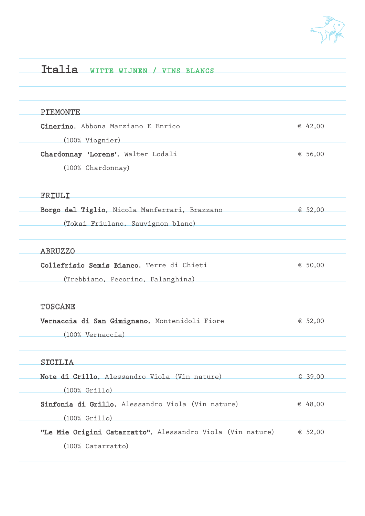

# Italia WITTE WIJNEN / VINS BLANCS

| <b>PIEMONTE</b>                                                                                     |         |
|-----------------------------------------------------------------------------------------------------|---------|
| Cinerino, Abbona Marziano E Enrico                                                                  | € 42,00 |
| (100% Viognier)                                                                                     |         |
| Chardonnay 'Lorens', Walter Lodali                                                                  | € 56,00 |
| (100% Chardonnay)                                                                                   |         |
| FRIULI                                                                                              |         |
| Borgo del Tiglio, Nicola Manferrari, Brazzano $\epsilon$ 52,00                                      |         |
| (Tokai Friulano, Sauvignon blanc)                                                                   |         |
| <b>ABRUZZO</b>                                                                                      |         |
| Collefrisio Semis Bianco, Terre di Chieti                                                           | € 50,00 |
| (Trebbiano, Pecorino, Falanghina) (Trebbiano, Pecorino, Falanghina)                                 |         |
| <b>TOSCANE</b>                                                                                      |         |
| Vernaccia di San Gimignano, Montenidoli Fiore                                                       | € 52,00 |
| (100% Vernaccia)                                                                                    |         |
| SICILIA                                                                                             |         |
| Note di Grillo, Alessandro Viola (Vin nature) $\epsilon$ 39,00                                      |         |
| $(100\% \text{ Grillo})$                                                                            |         |
| Sinfonia di Grillo, Alessandro Viola (Vin nature) $\epsilon$ 48,00                                  |         |
| $(100\% \text{ Grillo})$                                                                            |         |
| "Le Mie Origini Catarratto", Alessandro Viola (Vin nature) € 52,00                                  |         |
| and the control of the control of the control of the control of the control of<br>(100% Catarratto) |         |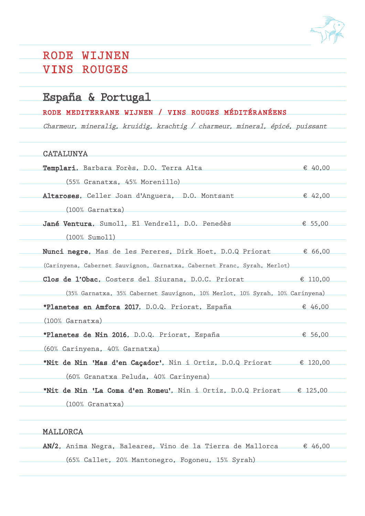

## RODE WIJNEN VINS ROUGES

### España & Portugal

### RODE MEDITERRANE WIJNEN / VINS ROUGES MÉDITÉRANÉENS

Charmeur, mineralig, kruidig, krachtig / charmeur, mineral, épicé, puissant

### CATALUNYA

| Templari, Barbara Forès, D.O. Terra Alta                                       | € 40.00  |
|--------------------------------------------------------------------------------|----------|
| (55% Granatxa, 45% Morenillo)                                                  |          |
| Altaroses, Celler Joan d'Anguera, D.O. Montsant                                | € 42,00  |
| $(100\%$ Garnatxa)                                                             |          |
| Jané Ventura, Sumoll, El Vendrell, D.O. Penedès                                | € 55,00  |
| $(100\% \; \text{Sumo11})$                                                     |          |
| Nunci negre, Mas de les Pereres, Dirk Hoet, D.O.Q Priorat $\epsilon$ 66,00     |          |
| (Carinyena, Cabernet Sauvignon, Garnatxa, Cabernet Franc, Syrah, Merlot)       |          |
| Clos de l'Obac, Costers del Siurana, D.O.C. Priorat                            | € 110,00 |
| (35% Garnatxa, 35% Cabernet Sauvignon, 10% Merlot, 10% Syrah, 10% Carinyena)   |          |
| *Planetes en Amfora 2017, D.O.Q. Priorat, España $\epsilon$ 46,00              |          |
| $(100\%$ Garnatxa)                                                             |          |
| *Planetes de Nin 2016, D.O.Q. Priorat, España                                  | € 56,00  |
| (60% Carinyena, 40% Garnatxa)                                                  |          |
| *Nit de Nin 'Mas d'en Caçador', Nin i Ortiz, D.O.Q Priorat $\epsilon$ 120,00   |          |
| (60% Granatxa Peluda, 40% Carinyena)                                           |          |
| *Nit de Nin 'La Coma d'en Romeu', Nin i Ortiz, D.O.Q Priorat $\epsilon$ 125,00 |          |
| $(100\% \text{ Granatxa})$                                                     |          |
|                                                                                |          |

#### MALLORCA

AN/2, Anima Negra, Baleares, Vino de la Tierra de Mallorca  $\epsilon$  46,00 (65% Callet, 20% Mantonegro, Fogoneu, 15% Syrah)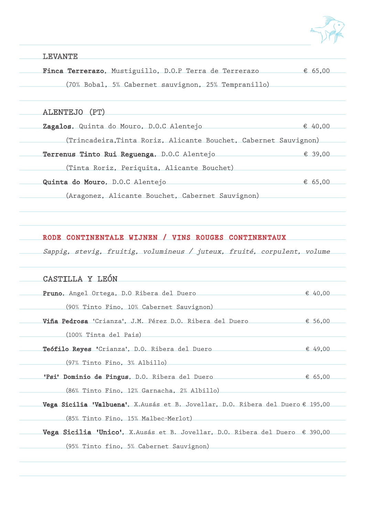

LEVANTE

Finca Terrerazo, Mustiguillo, D.O.P Terra de Terrerazo  $65,00$ (70% Bobal, 5% Cabernet sauvignon, 25% Tempranillo)

#### ALENTEJO (PT)

| Zagalos, Quinta do Mouro, D.O.C Alentejo                         | € 40.00 |
|------------------------------------------------------------------|---------|
| (Trincadeira, Tinta Roriz, Alicante Bouchet, Cabernet Sauvignon) |         |
| Terrenus Tinto Rui Reguenga, D.O.C Alentejo                      | € 39.00 |
| (Tinta Roriz, Periquita, Alicante Bouchet)                       |         |
| Quinta do Mouro, D.O.C Alentejo                                  | € 65,00 |
| (Aragonez, Alicante Bouchet, Cabernet Sauvignon)                 |         |

#### RODE CONTINENTALE WIJNEN / VINS ROUGES CONTINENTAUX

Sappig, stevig, fruitig, volumineus / juteux, fruité, corpulent, volume

| CASTILLA Y LEÓN                                                                       |         |
|---------------------------------------------------------------------------------------|---------|
| Pruno, Angel Ortega, D.O Ribera del Duero                                             | € 40,00 |
| (90% Tinto Fino, 10% Cabernet Sauvignon)                                              |         |
| Viña Pedrosa 'Crianza', J.M. Pérez D.O. Ribera del Duero $\epsilon$ 56,00             |         |
| (100% Tinta del Pais)                                                                 |         |
| Teófilo Reyes 'Crianza', D.O. Ribera del Duero                                        | € 49.00 |
| $(97%$ Tinto Fino, $3%$ Albillo)                                                      |         |
| 'Psi' Dominio de Pingus, D.O. Ribera del Duero                                        | € 65.00 |
| (86% Tinto Fino, 12% Garnacha, 2% Albillo)                                            |         |
| Vega Sicilia 'Valbuena', X.Ausás et B. Jovellar, D.O. Ribera del Duero € 195,00       |         |
| (85% Tinto Fino, 15% Malbec-Merlot)                                                   |         |
| Vega Sicilia 'Unico', X.Ausás et B. Jovellar, D.O. Ribera del Duero $\epsilon$ 390,00 |         |
| (95% Tinto fino, 5% Cabernet Sauvignon)                                               |         |
|                                                                                       |         |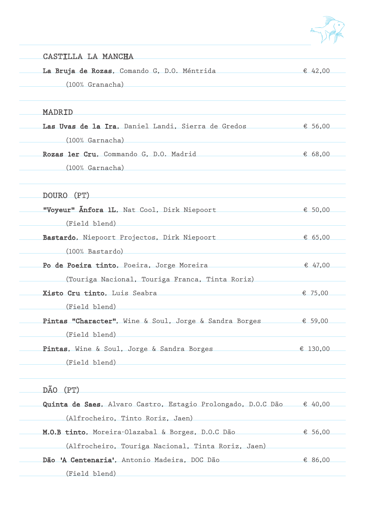

| CASTILLA LA MANCHA                                                                                             |          |
|----------------------------------------------------------------------------------------------------------------|----------|
| La Bruja de Rozas, Comando G, D.O. Méntrida                                                                    | € 42,00  |
| (100% Granacha)                                                                                                |          |
| MADRID                                                                                                         |          |
| Las Uvas de la Ira, Daniel Landi, Sierra de Gredos                                                             | € 56,00  |
| (100% Garnacha)                                                                                                |          |
| Rozas ler Cru, Commando G, D.O. Madrid                                                                         | € 68,00  |
| (100% Garnacha)                                                                                                |          |
| DOURO (PT)                                                                                                     |          |
| "Voyeur" Anfora 1L, Nat Cool, Dirk Niepoort                                                                    | € 50,00  |
| (Field blend)                                                                                                  |          |
| Bastardo, Niepoort Projectos, Dirk Niepoort                                                                    | € 65,00  |
| (100% Bastardo)                                                                                                |          |
| Po de Poeira tinto, Poeira, Jorge Moreira                                                                      | € 47,00  |
| (Touriga Nacional, Touriga Franca, Tinta Roriz)                                                                |          |
| Xisto Cru tinto, Luis Seabra entre a contra contra a contra contra a contra a contra contra a contra contra co | € 75,00  |
| (Field blend)                                                                                                  |          |
| Pintas "Character", Wine & Soul, Jorge & Sandra Borges                                                         | € 59,00  |
| (Field blend)                                                                                                  |          |
| Pintas, Wine & Soul, Jorge & Sandra Borges                                                                     | € 130,00 |
| (Field blend)                                                                                                  |          |
| DÃO (PT)                                                                                                       |          |
| Quinta de Saes, Alvaro Castro, Estagio Prolongado, D.O.C Dão € 40,00                                           |          |
| (Alfrocheiro, Tinto Roriz, Jaen)                                                                               |          |
| M.O.B tinto, Moreira-Olazabal & Borges, D.O.C Dão                                                              | € 56,00  |
| (Alfrocheiro, Touriga Nacional, Tinta Roriz, Jaen)                                                             |          |
| Dão 'A Centenaria', Antonio Madeira, DOC Dão                                                                   | € 86,00  |
| (Field blend)                                                                                                  |          |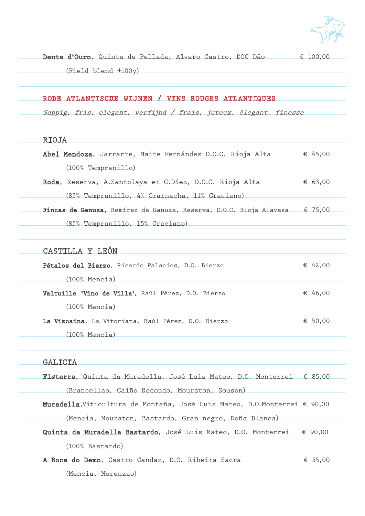

Dente d'Ouro, Quinta de Pellada, Alvaro Castro, DOC Dão € 100,00 (Field blend +100y) RODE ATLANTISCHE WIJNEN / VINS ROUGES ATLANTIQUES Sappig, fris, elegant, verfijnd / frais, juteux, élegant, finesse RIOJA Abel Mendoza, Jarrarte, Maite Fernández D.O.C. Rioja Alta  $\epsilon$  45,00 (100% Tempranillo) Roda, Reserva, A.Santolaya et C.Díez, D.O.C. Rioja Alta  $\epsilon$  63,00 (85% Tempranillo, 4% Grarnacha, 11% Graciano) Fincas de Ganuza, Remírez de Ganuza, Reserva, D.O.C. Rioja Alavesa € 75.00 (85% Tempranillo, 15% Graciano) CASTILLA Y LEÓN Pétalos del Bierzo, Ricardo Palacios, D.O. Bierzo € 42.00 (100% Mencia) Valtuille 'Vino de Villa', Raúl Pérez, D.O. Bierzo  $\epsilon$  46,00 (100% Mencia) La Vizcaina, La Vitoriana, Raúl Pérez, D.O. Bierzo € 50,00 (100% Mencia) **GALICIA** Fisterra, Quinta da Muradella, José Luis Mateo, D.O. Monterrei € 85,00 (Brancellao, Caiño Redondo, Mouraton, Souson) Muradella,Viticultura de Montaña, José Luis Mateo, D.O.Monterrei € 90,00 (Mencia, Mouraton, Bastardo, Gran negro, Doña Blanca) Quinta da Muradella Bastardo, José Luis Mateo, D.O. Monterrei € 90,00 (100% Bastardo)

A Boca do Demo, Castro Candaz, D.O. Ribeira Sacra  $\epsilon$  55,00

(Mencia, Merenzao)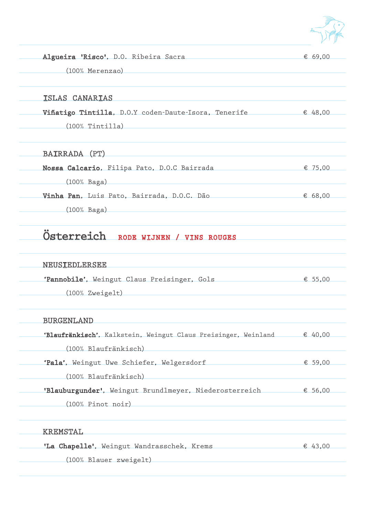

| Algueira 'Risco', D.O. Ribeira Sacra | & 69.00 |
|--------------------------------------|---------|
|                                      |         |
| (100% Merenzao)                      |         |

#### ISLAS CANARIAS

Viñatigo Tintilla, D.O.Y coden-Daute-Isora, Tenerife  $\epsilon$  48,00 (100% Tintilla)

#### BAIRRADA (PT)

Nossa Calcario, Filipa Pato, D.O.C Bairrada <del>€</del> 75,00 (100% Baga) Vinha Pan, Luis Pato, Bairrada, D.O.C. Dão  $\epsilon$  68,00 (100% Baga)

## Österreich RODE WIJNEN / VINS ROUGES

#### NEUSIEDLERSEE

'Pannobile', Weingut Claus Preisinger, Gols € 55,00 (100% Zweigelt)

#### BURGENLAND

'Blaufränkisch', Kalkstein, Weingut Claus Preisinger, Weinland  $\epsilon$  40,00 (100% Blaufränkisch) 'Pala', Weingut Uwe Schiefer, Welgersdorf € 59,00 (100% Blaufränkisch) 'Blauburgunder', Weingut Brundlmeyer, Niederosterreich € 56,00

(100% Pinot noir)

#### KREMSTAL

'La Chapelle', Weingut Wandrasschek, Krems  $\epsilon$  43,00 (100% Blauer zweigelt)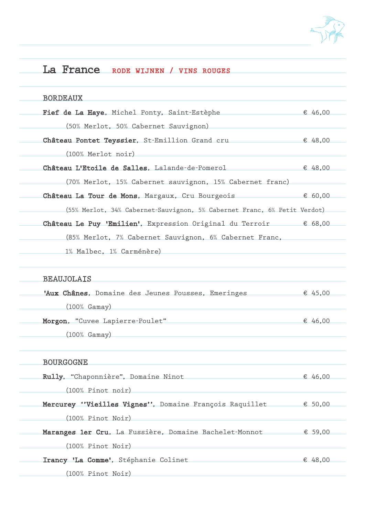

## La France RODE WIJNEN / VINS ROUGES

| <b>BORDEAUX</b>                                                           |         |
|---------------------------------------------------------------------------|---------|
| Fief de La Haye, Michel Ponty, Saint-Estèphe                              | € 46,00 |
| (50% Merlot, 50% Cabernet Sauvignon)                                      |         |
| Château Pontet Teyssier, St-Emillion Grand cru $\epsilon$ 48,00           |         |
| (100% Merlot noir)                                                        |         |
| Château L'Etoile de Salles, Lalande-de-Pomerol                            | € 48,00 |
| (70% Merlot, 15% Cabernet sauvignon, 15% Cabernet franc)                  |         |
| Château La Tour de Mons, Margaux, Cru Bourgeois                           | € 60,00 |
| (55% Merlot, 34% Cabernet-Sauvignon, 5% Cabernet Franc, 6% Petit Verdot)  |         |
| Château Le Puy 'Emilien', Expression Original du Terroir $\epsilon$ 68,00 |         |
| (85% Merlot, 7% Cabernet Sauvignon, 6% Cabernet Franc,                    |         |
| 1% Malbec, 1% Carménère)                                                  |         |
| <b>BEAUJOLAIS</b>                                                         |         |
| 'Aux Chânes, Domaine des Jeunes Pousses, Emeringes                        | € 45,00 |
| $(100\% \text{ Gamay})$                                                   |         |
| Morgon, "Cuvee Lapierre-Poulet"                                           | € 46,00 |
| $(100\% \text{ Gamay})$                                                   |         |
| <b>BOURGOGNE</b>                                                          |         |
| Rully, "Chaponnière", Domaine Ninot                                       | € 46,00 |
| (100% Pinot noir)                                                         |         |
| Mercurey "Vieilles Vignes", Domaine François Raquillet $\epsilon$ 50,00   |         |
| (100% Pinot Noir)                                                         |         |
| Maranges ler Cru, La Fussière, Domaine Bachelet-Monnot $\epsilon$ 59,00   |         |
| (100% Pinot Noir)                                                         |         |
| Irancy 'La Comme', Stéphanie Colinet                                      | € 48,00 |
| (100% Pinot Noir)                                                         |         |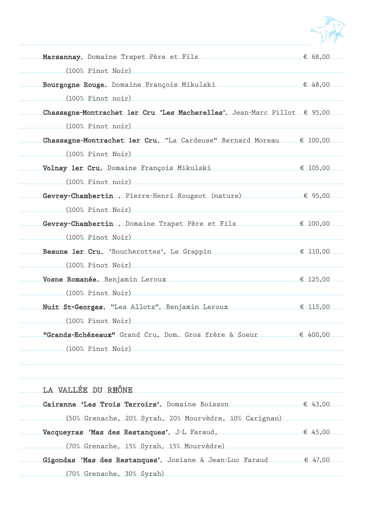

| Marsannay, Domaine Trapet Père et Fils                                                                                  | € 68,00  |
|-------------------------------------------------------------------------------------------------------------------------|----------|
| (100% Pinot Noir)                                                                                                       |          |
| Bourgogne Rouge, Domaine François Mikulski                                                                              | € 48,00  |
| (100% Pinot noir)                                                                                                       |          |
| Chassagne-Montrachet ler Cru 'Les Macherelles', Jean-Marc Pillot € 95,00                                                |          |
| (100% Pinot noir)                                                                                                       |          |
| Chassagne-Montrachet ler Cru, "La Cardeuse" Bernard Moreau $\epsilon$ 100,00                                            |          |
| (100% Pinot Noir)                                                                                                       |          |
| Volnay ler Cru, Domaine François Mikulski                                                                               | € 105,00 |
| (100% Pinot noir)                                                                                                       |          |
| Gevrey-Chambertin, Pierre-Henri Rougeot (nature) € 95,00                                                                |          |
| (100% Pinot Noir)                                                                                                       |          |
| Gevrey-Chambertin, Domaine Trapet Père et Fils <del>€</del> 100,00                                                      |          |
| (100% Pinot Noir)                                                                                                       |          |
| Beaune ler Cru, 'Boucherottes', Le Grappin                                                                              | € 110,00 |
| (100% Pinot Noir) (100% Pinot Noir)                                                                                     |          |
| Vosne Romanée, Benjamin Leroux <b>Constantino de la construcción de la constantino de la constantino de la constant</b> | € 125,00 |
| (100% Pinot Noir)                                                                                                       |          |
| Nuit St-Georges, "Les Allots", Benjamin Leroux                                                                          | € 115,00 |
| (100% Pinot Noir)                                                                                                       |          |
| "Grands-Echézeaux" Grand Cru, Dom. Gros frère & Soeur                                                                   | € 400,00 |
| (100% Pinot Noir)                                                                                                       |          |

| LA VALLÉE DU RHÔNE                                       |         |
|----------------------------------------------------------|---------|
| Cairanne 'Les Trois Terroirs', Domaine Boisson           | € 43,00 |
| (50% Grenache, 20% Syrah, 20% Mourvèdre, 10% Carignan)   |         |
| Vacqueyras 'Mas des Restanques', J-L Faraud,             | € 45,00 |
| (70% Grenache, 15% Syrah, 15% Mourvèdre)                 |         |
| Gigondas 'Mas des Restanques', Josiane & Jean-Luc Faraud | € 47,00 |
| (70% Grenache, 30% Syrah)                                |         |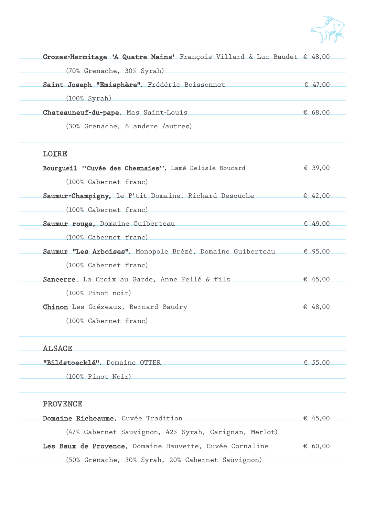

| (70% Grenache, 30% Syrah)                                         |         |
|-------------------------------------------------------------------|---------|
| Saint Joseph "Emisphère", Frédéric Boissonnet                     | € 47,00 |
| $(100\%$ Syrah)                                                   |         |
| Chateauneuf-du-pape, Mas Saint-Louis                              | € 68,00 |
| $(30%$ Grenache, 6 andere /autres)                                |         |
| LOIRE                                                             |         |
| Bourgueil "Cuvée des Chesnaies", Lamé Delisle Boucard             | € 39,00 |
| (100% Cabernet franc)                                             |         |
| Saumur-Champigny, le P'tit Domaine, Richard Desouche              | € 42,00 |
| (100% Cabernet franc)                                             |         |
| Saumur rouge, Domaine Guiberteau                                  | € 49,00 |
| (100% Cabernet franc)                                             |         |
| Saumur "Les Arboises", Monopole Brézé, Domaine Guiberteau € 95,00 |         |
| (100% Cabernet franc)                                             |         |
| Sancerre, La Croix au Garde, Anne Pellé & fils                    | € 45,00 |
| (100% Pinot noir)                                                 |         |
| Chinon Les Grézeaux, Bernard Baudry                               | € 48,00 |
| (100% Cabernet franc)                                             |         |
| ALSACE                                                            |         |
| "Bildstoecklé", Domaine OTTER                                     | € 55,00 |
| (100% Pinot Noir) (100% Contract Noir)                            |         |
| <b>PROVENCE</b>                                                   |         |
| Domaine Richeaume, Cuvée Tradition                                | € 45,00 |
| (47% Cabernet Sauvignon, 42% Syrah, Carignan, Merlot)             |         |
| Les Baux de Provence, Domaine Hauvette, Cuvée Cornaline           | € 60,00 |

(50% Grenache, 30% Syrah, 20% Cabernet Sauvignon)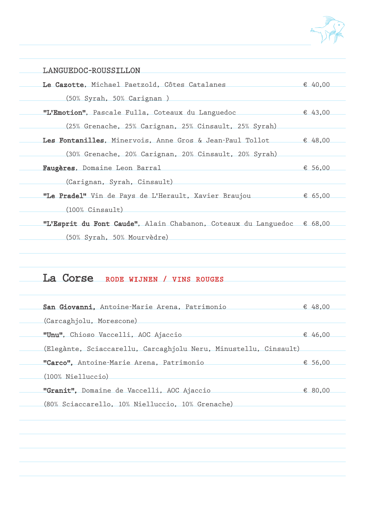

| LANGUEDOC-ROUSSILLON                                                            |         |
|---------------------------------------------------------------------------------|---------|
| Le Cazotte, Michael Paetzold, Côtes Catalanes                                   | € 40,00 |
| (50% Syrah, 50% Carignan)                                                       |         |
| "L'Emotion", Pascale Fulla, Coteaux du Languedoc                                | € 43,00 |
| (25% Grenache, 25% Carignan, 25% Cinsault, 25% Syrah)                           |         |
| Les Fontanilles, Minervois, Anne Gros & Jean-Paul Tollot $\epsilon$ 48,00       |         |
| (30% Grenache, 20% Carignan, 20% Cinsault, 20% Syrah)                           |         |
| Faugères, Domaine Leon Barral                                                   | € 56,00 |
| (Carignan, Syrah, Cinsault)                                                     |         |
| <b>"Le Pradel"</b> Vin de Pays de L'Herault, Xavier Braujou $\epsilon$ 65,00    |         |
| $(100\% \text{ Cinsault})$                                                      |         |
| "L'Esprit du Font Caude", Alain Chabanon, Coteaux du Languedoc $\epsilon$ 68,00 |         |
| (50% Syrah, 50% Mourvèdre)                                                      |         |
|                                                                                 |         |

### La Corse RODE WIJNEN / VINS ROUGES

| San Giovanni, Antoine-Marie Arena, Patrimonio                    | € 48,00 |
|------------------------------------------------------------------|---------|
| (Carcaghjolu, Morescone)                                         |         |
| "Unu", Chioso Vaccelli, AOC Ajaccio                              | € 46,00 |
| (Elegànte, Sciaccarellu, Carcaghjolu Neru, Minustellu, Cinsault) |         |
| "Carco", Antoine-Marie Arena, Patrimonio                         | € 56,00 |
| (100% Nielluccio)                                                |         |
| "Granit", Domaine de Vaccelli, AOC Ajaccio                       | € 80,00 |
| (80% Sciaccarello, 10% Nielluccio, 10% Grenache)                 |         |
|                                                                  |         |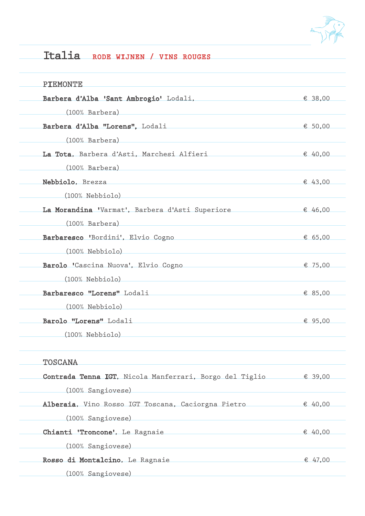

## Italia RODE WIJNEN / VINS ROUGES

| PIEMONTE                                                                                                               |                  |
|------------------------------------------------------------------------------------------------------------------------|------------------|
| Barbera d'Alba 'Sant Ambrogio' Lodali, entre en segon en segon en segon en segon en segon en segon en segon en         |                  |
| (100% Barbera)                                                                                                         |                  |
| Barbera d'Alba "Lorens", Lodali <b>Marca de la contra del control de la contra del control de la contra del contro</b> | € 50,00          |
| (100% Barbera) (100% Sarbera)                                                                                          |                  |
| La Tota, Barbera d'Asti, Marchesi Alfieri                                                                              | $\epsilon$ 40,00 |
| (100% Barbera) 2008 (100% Carbera)                                                                                     |                  |
| Nebbiolo, Brezza                                                                                                       | € 43,00          |
| $(100\%$ Nebbiolo)                                                                                                     |                  |
| La Morandina 'Varmat', Barbera d'Asti Superiore € 46,00                                                                |                  |
| $(100\%$ Barbera)                                                                                                      |                  |
| Barbaresco 'Bordini', Elvio Cogno                                                                                      | € 65,00          |
| $(100%$ Nebbiolo)                                                                                                      |                  |
| Barolo 'Cascina Nuova', Elvio Cogno                                                                                    | € 75,00          |
| $(100\%$ Nebbiolo)                                                                                                     |                  |
| Barbaresco "Lorens" Lodali Maria Maria Maria Maria Maria Maria Maria Maria Maria Maria Maria Maria Maria Maria         | € 85,00          |
| $(100%$ Nebbiolo)                                                                                                      |                  |
| Barolo "Lorens" Lodali <b>Marchan al III al III al III al III al III al III al III al III al III al III al III-l</b>   | € 95,00          |
| $(100\%$ Nebbiolo)                                                                                                     |                  |
| TOSCANA                                                                                                                |                  |
| Contrada Tenna IGT, Nicola Manferrari, Borgo del Tiglio $\epsilon$ 39,00                                               |                  |
| (100% Sangiovese)                                                                                                      |                  |
| Alberaia, Vino Rosso IGT Toscana, Caciorgna Pietro <a> ←40,00</a> ←40,00 ← 40,00 ← 40,00                               |                  |
| (100% Sangiovese)                                                                                                      |                  |
| Chianti 'Troncone', Le Ragnaie                                                                                         | € 40,00          |
| (100% Sangiovese)                                                                                                      |                  |
| Rosso di Montalcino, Le Ragnaie                                                                                        | € 47,00          |
| (100% Sangiovese)                                                                                                      |                  |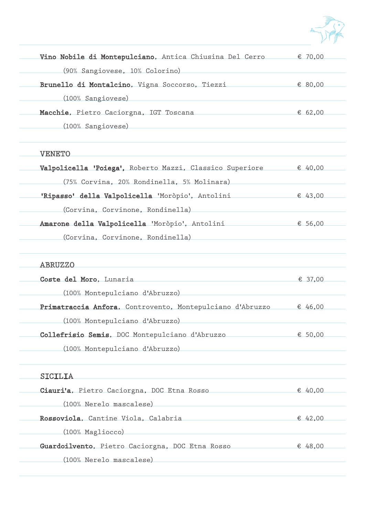

| Vino Nobile di Montepulciano, Antica Chiusina Del Cerro $\epsilon$ 70,00                                             |         |
|----------------------------------------------------------------------------------------------------------------------|---------|
| (90% Sangiovese, 10% Colorino)                                                                                       |         |
| Brunello di Montalcino, Vigna Soccorso, Tiezzi                                                                       | € 80,00 |
| (100% Sangiovese)                                                                                                    |         |
| Macchie, Pietro Caciorgna, IGT Toscana                                                                               | € 62,00 |
| (100% Sangiovese)                                                                                                    |         |
|                                                                                                                      |         |
| <b>VENETO</b>                                                                                                        |         |
| <b>Valpolicella 'Poiega'</b> , Roberto Mazzi, Classico Superiore $\epsilon$ 40,00                                    |         |
| (75% Corvina, 20% Rondinella, 5% Molinara)                                                                           |         |
| 'Ripasso' della Valpolicella 'Moròpio', Antolini                                                                     | € 43,00 |
| (Corvina, Corvinone, Rondinella)                                                                                     |         |
| Amarone della Valpolicella 'Moròpio', Antolini (€ 56,00                                                              |         |
| (Corvina, Corvinone, Rondinella)                                                                                     |         |
| <b>ABRUZZO</b>                                                                                                       |         |
| Coste del Moro, Lunaria                                                                                              | € 37,00 |
| (100% Montepulciano d'Abruzzo)                                                                                       |         |
| Primatraccia Anfora, Controvento, Montepulciano d'Abruzzo $\epsilon$ 46,00                                           |         |
| (100% Montepulciano d'Abruzzo)                                                                                       |         |
| Collefrisio Semis, DOC Montepulciano d'Abruzzo € 50,00                                                               |         |
| (100% Montepulciano d'Abruzzo)                                                                                       |         |
| SICILIA                                                                                                              |         |
| Ciauri'a, Pietro Caciorgna, DOC Etna Rosso                                                                           | € 40.00 |
| (100% Nerelo mascalese)                                                                                              |         |
| Rossoviola, Cantine Viola, Calabria                                                                                  | € 42,00 |
| $(100\%$ Magliocco)                                                                                                  |         |
| Guardoilvento, Pietro Caciorgna, DOC Etna Rosso                                                                      | € 48,00 |
| (100% Nerelo mascalese)<br>the control of the control of the control of the control of the control of the control of |         |
|                                                                                                                      |         |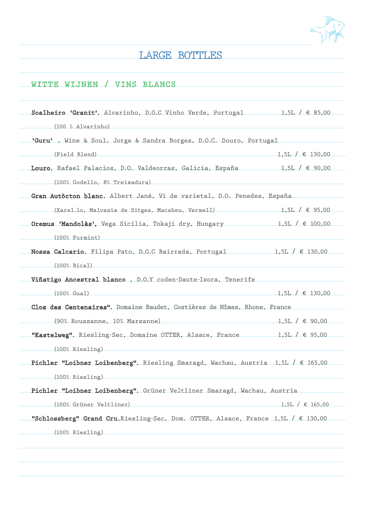

### LARGE BOTTLES

### WITTE WIJNEN / VINS BLANCS

| 'Guru', Wine & Soul, Jorge & Sandra Borges, D.O.C. Douro, Portugal                               |                     |
|--------------------------------------------------------------------------------------------------|---------------------|
| (Field Blend)                                                                                    | $1,5L / \in 130,00$ |
| Louro, Rafael Palacios, D.O. Valdeorras, Galicia, España $1,5L / \text{ } \in 90,00$             |                     |
| (100% Godello, 8% Treixadura)                                                                    |                     |
| Gran Autòcton blanc, Albert Jané, Vi de varietal, D.O. Penedes, España                           |                     |
| (Xarel.lo, Malvasia de Sitges, Macabeu, Vermell) 1,5L / $\in$ 95,00                              |                     |
| <b>Oremus 'Mandolàs'</b> , Vega Sicilia, Tokaji dry, Hungary 1,5L / $\epsilon$ 100,00            |                     |
| (100% Furmint)                                                                                   |                     |
| Nossa Calcario, Filipa Pato, D.O.C Bairrada, Portugal 1,5L / $\epsilon$ 130,00                   |                     |
| $(100\% \text{ Bical})$                                                                          |                     |
| Viñatigo Ancestral blanco, D.O.Y coden-Daute-Isora, Tenerife                                     |                     |
| (100% Gual)                                                                                      | $1,5L / \in 130,00$ |
| Clos des Centenaires", Domaine Baudet, Costières de Nîmes, Rhone, France                         |                     |
| $(90%$ Roussanne, 10% Marsanne) 1,5L / € 90,00                                                   |                     |
| <b>"Kastelweg"</b> , Riesling-Sec, Domaine OTTER, Alsace, France 1,5L / $\in$ 95,00              |                     |
| (100% Riesling)                                                                                  |                     |
| <b>Pichler "Loibner Loibenberg"</b> , Riesling Smaragd, Wachau, Austria 1,5L / $\epsilon$ 165,00 |                     |
| (100% Riesling)                                                                                  |                     |
| Pichler "Loibner Loibenberg", Grüner Veltliner Smaragd, Wachau, Austria                          |                     |
| (100% Grüner Veltliner) (100% Crüner Veltliner)                                                  | $1,5L / \in 165,00$ |
| "Schlossberg" Grand Cru, Riesling-Sec, Dom. OTTER, Alsace, France 1,5L / $\epsilon$ 130,00       |                     |
| (100% Riesling)                                                                                  |                     |